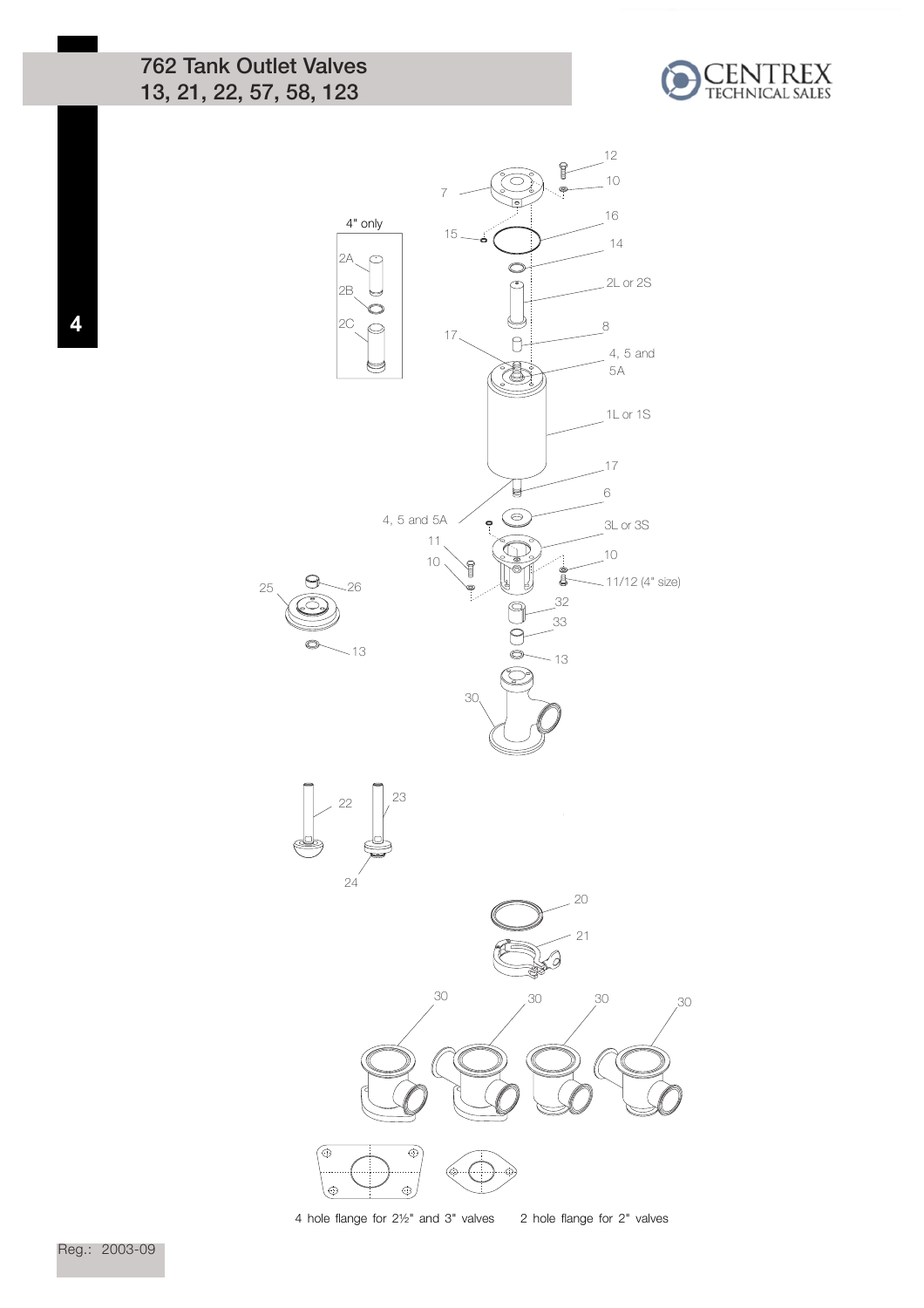## 762 Tank Outlet Valves 13, 21, 22, 57, 58, 123





4 hole flange for 2½" and 3" valves 2 hole flange for 2" valves